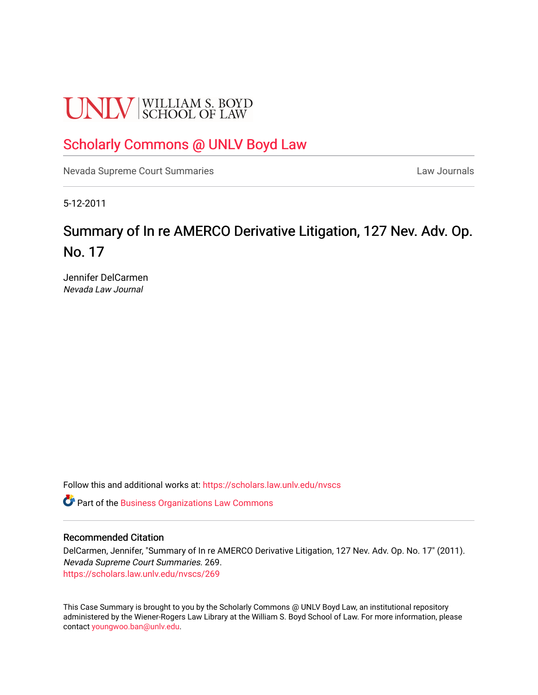# **UNLV** SCHOOL OF LAW

# [Scholarly Commons @ UNLV Boyd Law](https://scholars.law.unlv.edu/)

[Nevada Supreme Court Summaries](https://scholars.law.unlv.edu/nvscs) **Law Journals** Law Journals

5-12-2011

# Summary of In re AMERCO Derivative Litigation, 127 Nev. Adv. Op. No. 17

Jennifer DelCarmen Nevada Law Journal

Follow this and additional works at: [https://scholars.law.unlv.edu/nvscs](https://scholars.law.unlv.edu/nvscs?utm_source=scholars.law.unlv.edu%2Fnvscs%2F269&utm_medium=PDF&utm_campaign=PDFCoverPages)

Part of the [Business Organizations Law Commons](http://network.bepress.com/hgg/discipline/900?utm_source=scholars.law.unlv.edu%2Fnvscs%2F269&utm_medium=PDF&utm_campaign=PDFCoverPages)

#### Recommended Citation

DelCarmen, Jennifer, "Summary of In re AMERCO Derivative Litigation, 127 Nev. Adv. Op. No. 17" (2011). Nevada Supreme Court Summaries. 269. [https://scholars.law.unlv.edu/nvscs/269](https://scholars.law.unlv.edu/nvscs/269?utm_source=scholars.law.unlv.edu%2Fnvscs%2F269&utm_medium=PDF&utm_campaign=PDFCoverPages)

This Case Summary is brought to you by the Scholarly Commons @ UNLV Boyd Law, an institutional repository administered by the Wiener-Rogers Law Library at the William S. Boyd School of Law. For more information, please contact [youngwoo.ban@unlv.edu](mailto:youngwoo.ban@unlv.edu).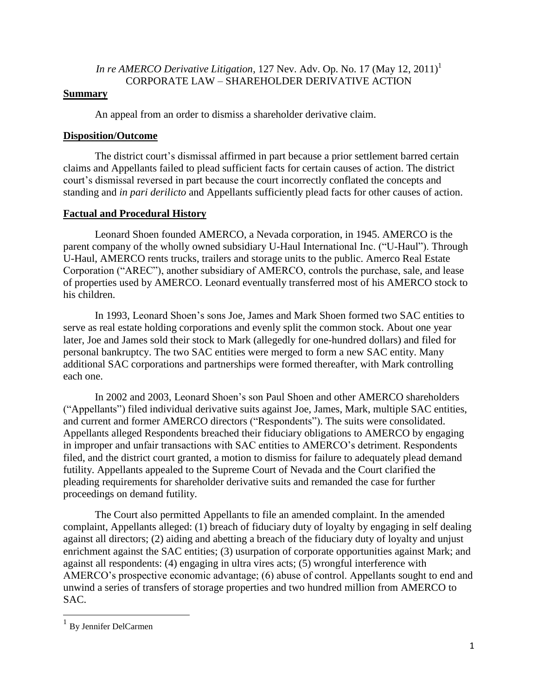# *In re AMERCO Derivative Litigation,* 127 Nev. Adv. Op. No. 17 (May 12, 2011)<sup>1</sup> CORPORATE LAW – SHAREHOLDER DERIVATIVE ACTION

# **Summary**

An appeal from an order to dismiss a shareholder derivative claim.

# **Disposition/Outcome**

The district court's dismissal affirmed in part because a prior settlement barred certain claims and Appellants failed to plead sufficient facts for certain causes of action. The district court"s dismissal reversed in part because the court incorrectly conflated the concepts and standing and *in pari derilicto* and Appellants sufficiently plead facts for other causes of action.

# **Factual and Procedural History**

Leonard Shoen founded AMERCO, a Nevada corporation, in 1945. AMERCO is the parent company of the wholly owned subsidiary U-Haul International Inc. ("U-Haul"). Through U-Haul, AMERCO rents trucks, trailers and storage units to the public. Amerco Real Estate Corporation ("AREC"), another subsidiary of AMERCO, controls the purchase, sale, and lease of properties used by AMERCO. Leonard eventually transferred most of his AMERCO stock to his children.

In 1993, Leonard Shoen"s sons Joe, James and Mark Shoen formed two SAC entities to serve as real estate holding corporations and evenly split the common stock. About one year later, Joe and James sold their stock to Mark (allegedly for one-hundred dollars) and filed for personal bankruptcy. The two SAC entities were merged to form a new SAC entity. Many additional SAC corporations and partnerships were formed thereafter, with Mark controlling each one.

In 2002 and 2003, Leonard Shoen"s son Paul Shoen and other AMERCO shareholders ("Appellants") filed individual derivative suits against Joe, James, Mark, multiple SAC entities, and current and former AMERCO directors ("Respondents"). The suits were consolidated. Appellants alleged Respondents breached their fiduciary obligations to AMERCO by engaging in improper and unfair transactions with SAC entities to AMERCO"s detriment. Respondents filed, and the district court granted, a motion to dismiss for failure to adequately plead demand futility. Appellants appealed to the Supreme Court of Nevada and the Court clarified the pleading requirements for shareholder derivative suits and remanded the case for further proceedings on demand futility.

The Court also permitted Appellants to file an amended complaint. In the amended complaint, Appellants alleged: (1) breach of fiduciary duty of loyalty by engaging in self dealing against all directors; (2) aiding and abetting a breach of the fiduciary duty of loyalty and unjust enrichment against the SAC entities; (3) usurpation of corporate opportunities against Mark; and against all respondents: (4) engaging in ultra vires acts; (5) wrongful interference with AMERCO"s prospective economic advantage; (6) abuse of control. Appellants sought to end and unwind a series of transfers of storage properties and two hundred million from AMERCO to SAC.

<sup>&</sup>lt;sup>1</sup> By Jennifer DelCarmen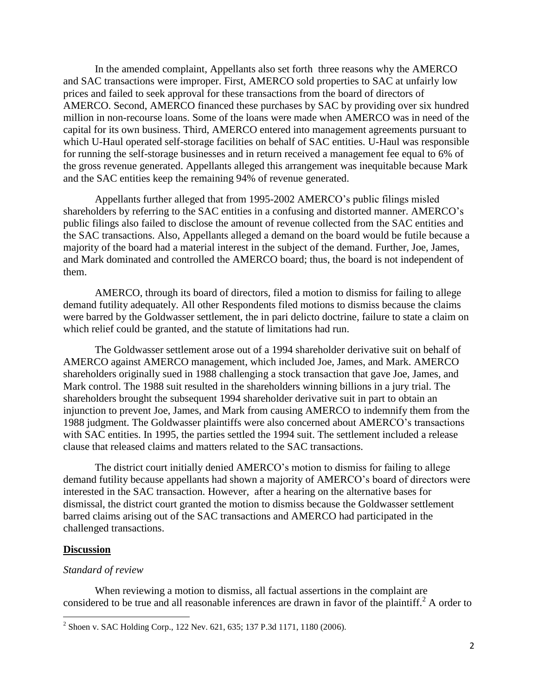In the amended complaint, Appellants also set forth three reasons why the AMERCO and SAC transactions were improper. First, AMERCO sold properties to SAC at unfairly low prices and failed to seek approval for these transactions from the board of directors of AMERCO. Second, AMERCO financed these purchases by SAC by providing over six hundred million in non-recourse loans. Some of the loans were made when AMERCO was in need of the capital for its own business. Third, AMERCO entered into management agreements pursuant to which U-Haul operated self-storage facilities on behalf of SAC entities. U-Haul was responsible for running the self-storage businesses and in return received a management fee equal to 6% of the gross revenue generated. Appellants alleged this arrangement was inequitable because Mark and the SAC entities keep the remaining 94% of revenue generated.

Appellants further alleged that from 1995-2002 AMERCO"s public filings misled shareholders by referring to the SAC entities in a confusing and distorted manner. AMERCO"s public filings also failed to disclose the amount of revenue collected from the SAC entities and the SAC transactions. Also, Appellants alleged a demand on the board would be futile because a majority of the board had a material interest in the subject of the demand. Further, Joe, James, and Mark dominated and controlled the AMERCO board; thus, the board is not independent of them.

AMERCO, through its board of directors, filed a motion to dismiss for failing to allege demand futility adequately. All other Respondents filed motions to dismiss because the claims were barred by the Goldwasser settlement, the in pari delicto doctrine, failure to state a claim on which relief could be granted, and the statute of limitations had run.

The Goldwasser settlement arose out of a 1994 shareholder derivative suit on behalf of AMERCO against AMERCO management, which included Joe, James, and Mark. AMERCO shareholders originally sued in 1988 challenging a stock transaction that gave Joe, James, and Mark control. The 1988 suit resulted in the shareholders winning billions in a jury trial. The shareholders brought the subsequent 1994 shareholder derivative suit in part to obtain an injunction to prevent Joe, James, and Mark from causing AMERCO to indemnify them from the 1988 judgment. The Goldwasser plaintiffs were also concerned about AMERCO"s transactions with SAC entities. In 1995, the parties settled the 1994 suit. The settlement included a release clause that released claims and matters related to the SAC transactions.

The district court initially denied AMERCO"s motion to dismiss for failing to allege demand futility because appellants had shown a majority of AMERCO"s board of directors were interested in the SAC transaction. However, after a hearing on the alternative bases for dismissal, the district court granted the motion to dismiss because the Goldwasser settlement barred claims arising out of the SAC transactions and AMERCO had participated in the challenged transactions.

#### **Discussion**

#### *Standard of review*

When reviewing a motion to dismiss, all factual assertions in the complaint are considered to be true and all reasonable inferences are drawn in favor of the plaintiff.<sup>2</sup> A order to

<sup>&</sup>lt;sup>2</sup> Shoen v. SAC Holding Corp., 122 Nev. 621, 635; 137 P.3d 1171, 1180 (2006).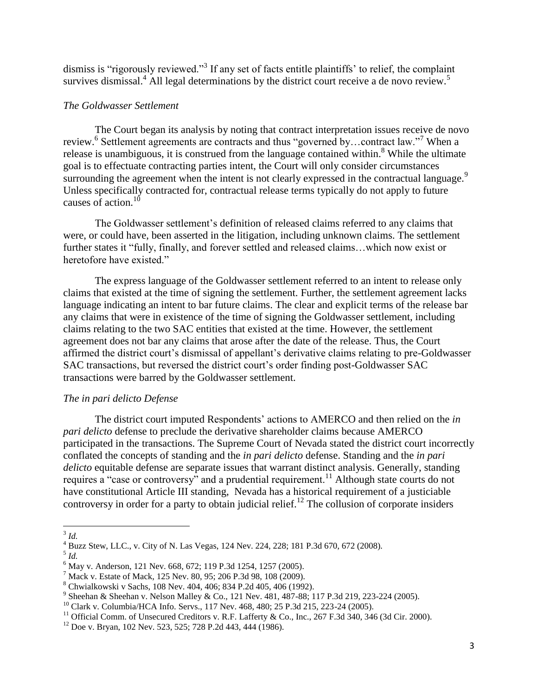dismiss is "rigorously reviewed."<sup>3</sup> If any set of facts entitle plaintiffs' to relief, the complaint survives dismissal.<sup>4</sup> All legal determinations by the district court receive a de novo review.<sup>5</sup>

# *The Goldwasser Settlement*

The Court began its analysis by noting that contract interpretation issues receive de novo review.<sup>6</sup> Settlement agreements are contracts and thus "governed by...contract law."<sup>7</sup> When a release is unambiguous, it is construed from the language contained within.<sup>8</sup> While the ultimate goal is to effectuate contracting parties intent, the Court will only consider circumstances surrounding the agreement when the intent is not clearly expressed in the contractual language.<sup>9</sup> Unless specifically contracted for, contractual release terms typically do not apply to future causes of action.<sup>10</sup>

The Goldwasser settlement's definition of released claims referred to any claims that were, or could have, been asserted in the litigation, including unknown claims. The settlement further states it "fully, finally, and forever settled and released claims…which now exist or heretofore have existed."

The express language of the Goldwasser settlement referred to an intent to release only claims that existed at the time of signing the settlement. Further, the settlement agreement lacks language indicating an intent to bar future claims. The clear and explicit terms of the release bar any claims that were in existence of the time of signing the Goldwasser settlement, including claims relating to the two SAC entities that existed at the time. However, the settlement agreement does not bar any claims that arose after the date of the release. Thus, the Court affirmed the district court"s dismissal of appellant"s derivative claims relating to pre-Goldwasser SAC transactions, but reversed the district court's order finding post-Goldwasser SAC transactions were barred by the Goldwasser settlement.

# *The in pari delicto Defense*

The district court imputed Respondents" actions to AMERCO and then relied on the *in pari delicto* defense to preclude the derivative shareholder claims because AMERCO participated in the transactions. The Supreme Court of Nevada stated the district court incorrectly conflated the concepts of standing and the *in pari delicto* defense. Standing and the *in pari delicto* equitable defense are separate issues that warrant distinct analysis. Generally, standing requires a "case or controversy" and a prudential requirement.<sup>11</sup> Although state courts do not have constitutional Article III standing, Nevada has a historical requirement of a justiciable controversy in order for a party to obtain judicial relief.<sup>12</sup> The collusion of corporate insiders

5 *Id.*

 $\overline{\phantom{a}}$ 3 *Id.*

<sup>4</sup> Buzz Stew, LLC., v. City of N. Las Vegas, 124 Nev. 224, 228; 181 P.3d 670, 672 (2008).

 $6$  May v. Anderson, 121 Nev. 668, 672; 119 P.3d 1254, 1257 (2005).

 $^{7}$  Mack v. Estate of Mack, 125 Nev. 80, 95; 206 P.3d 98, 108 (2009).

<sup>8</sup> Chwialkowski v Sachs, 108 Nev. 404, 406; 834 P.2d 405, 406 (1992).

<sup>&</sup>lt;sup>9</sup> Sheehan & Sheehan v. Nelson Malley & Co., 121 Nev. 481, 487-88; 117 P.3d 219, 223-224 (2005).

<sup>10</sup> Clark v. Columbia/HCA Info. Servs., 117 Nev. 468, 480; 25 P.3d 215, 223-24 (2005).

<sup>&</sup>lt;sup>11</sup> Official Comm. of Unsecured Creditors v. R.F. Lafferty & Co., Inc.,  $267$  F.3d 340, 346 (3d Cir. 2000).

 $12$  Doe v. Bryan, 102 Nev. 523, 525; 728 P.2d 443, 444 (1986).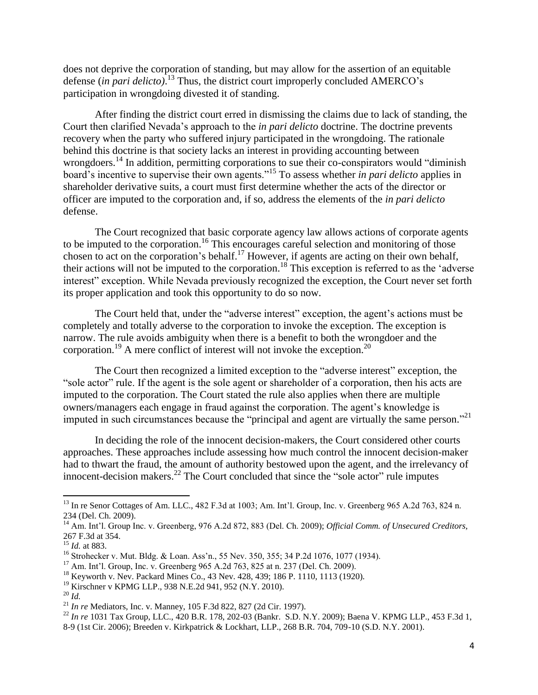does not deprive the corporation of standing, but may allow for the assertion of an equitable defense (*in pari delicto)*. <sup>13</sup> Thus, the district court improperly concluded AMERCO"s participation in wrongdoing divested it of standing.

After finding the district court erred in dismissing the claims due to lack of standing, the Court then clarified Nevada"s approach to the *in pari delicto* doctrine. The doctrine prevents recovery when the party who suffered injury participated in the wrongdoing. The rationale behind this doctrine is that society lacks an interest in providing accounting between wrongdoers.<sup>14</sup> In addition, permitting corporations to sue their co-conspirators would "diminish" board"s incentive to supervise their own agents."<sup>15</sup> To assess whether *in pari delicto* applies in shareholder derivative suits, a court must first determine whether the acts of the director or officer are imputed to the corporation and, if so, address the elements of the *in pari delicto* defense.

The Court recognized that basic corporate agency law allows actions of corporate agents to be imputed to the corporation.<sup>16</sup> This encourages careful selection and monitoring of those chosen to act on the corporation's behalf.<sup>17</sup> However, if agents are acting on their own behalf, their actions will not be imputed to the corporation.<sup>18</sup> This exception is referred to as the "adverse interest" exception. While Nevada previously recognized the exception, the Court never set forth its proper application and took this opportunity to do so now.

The Court held that, under the "adverse interest" exception, the agent's actions must be completely and totally adverse to the corporation to invoke the exception. The exception is narrow. The rule avoids ambiguity when there is a benefit to both the wrongdoer and the corporation.<sup>19</sup> A mere conflict of interest will not invoke the exception.<sup>20</sup>

The Court then recognized a limited exception to the "adverse interest" exception, the "sole actor" rule. If the agent is the sole agent or shareholder of a corporation, then his acts are imputed to the corporation. The Court stated the rule also applies when there are multiple owners/managers each engage in fraud against the corporation. The agent"s knowledge is imputed in such circumstances because the "principal and agent are virtually the same person."<sup>21</sup>

In deciding the role of the innocent decision-makers, the Court considered other courts approaches. These approaches include assessing how much control the innocent decision-maker had to thwart the fraud, the amount of authority bestowed upon the agent, and the irrelevancy of innocent-decision makers. $^{22}$  The Court concluded that since the "sole actor" rule imputes

<sup>&</sup>lt;sup>13</sup> In re Senor Cottages of Am. LLC., 482 F.3d at 1003; Am. Int'l. Group, Inc. v. Greenberg 965 A.2d 763, 824 n. 234 (Del. Ch. 2009).

<sup>14</sup> Am. Int"l. Group Inc. v. Greenberg, 976 A.2d 872, 883 (Del. Ch. 2009); *Official Comm. of Unsecured Creditors,* 267 F.3d at 354.

<sup>15</sup> *Id.* at 883.

<sup>&</sup>lt;sup>16</sup> Strohecker v. Mut. Bldg. & Loan. Ass'n., 55 Nev. 350, 355; 34 P.2d 1076, 1077 (1934).

<sup>&</sup>lt;sup>17</sup> Am. Int'l. Group, Inc. v. Greenberg 965 A.2d 763, 825 at n. 237 (Del. Ch. 2009).

<sup>18</sup> Keyworth v. Nev. Packard Mines Co., 43 Nev. 428, 439; 186 P. 1110, 1113 (1920).

<sup>19</sup> Kirschner v KPMG LLP., 938 N.E.2d 941, 952 (N.Y. 2010).

<sup>20</sup> *Id.*

<sup>21</sup> *In re* Mediators, Inc. v. Manney, 105 F.3d 822, 827 (2d Cir. 1997).

<sup>&</sup>lt;sup>22</sup> *In re* 1031 Tax Group, LLC., 420 B.R. 178, 202-03 (Bankr. S.D. N.Y. 2009); Baena V. KPMG LLP., 453 F.3d 1, 8-9 (1st Cir. 2006); Breeden v. Kirkpatrick & Lockhart, LLP., 268 B.R. 704, 709-10 (S.D. N.Y. 2001).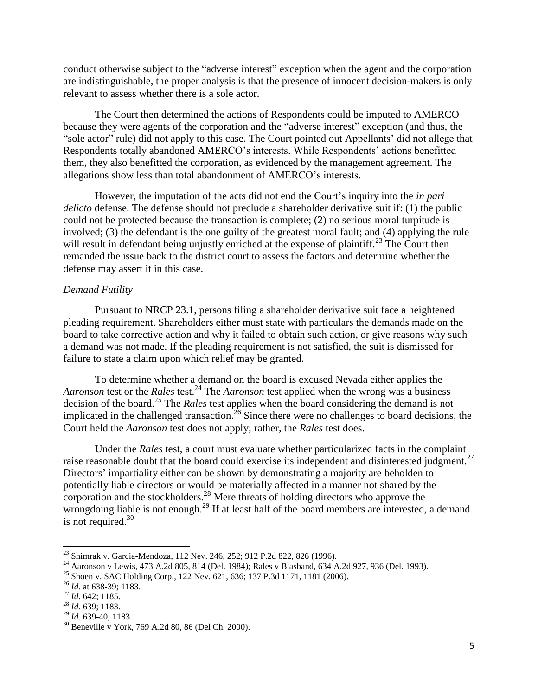conduct otherwise subject to the "adverse interest" exception when the agent and the corporation are indistinguishable, the proper analysis is that the presence of innocent decision-makers is only relevant to assess whether there is a sole actor.

The Court then determined the actions of Respondents could be imputed to AMERCO because they were agents of the corporation and the "adverse interest" exception (and thus, the "sole actor" rule) did not apply to this case. The Court pointed out Appellants" did not allege that Respondents totally abandoned AMERCO"s interests. While Respondents" actions benefitted them, they also benefitted the corporation, as evidenced by the management agreement. The allegations show less than total abandonment of AMERCO"s interests.

However, the imputation of the acts did not end the Court"s inquiry into the *in pari delicto* defense. The defense should not preclude a shareholder derivative suit if: (1) the public could not be protected because the transaction is complete; (2) no serious moral turpitude is involved; (3) the defendant is the one guilty of the greatest moral fault; and (4) applying the rule will result in defendant being unjustly enriched at the expense of plaintiff.<sup>23</sup> The Court then remanded the issue back to the district court to assess the factors and determine whether the defense may assert it in this case.

#### *Demand Futility*

Pursuant to NRCP 23.1, persons filing a shareholder derivative suit face a heightened pleading requirement. Shareholders either must state with particulars the demands made on the board to take corrective action and why it failed to obtain such action, or give reasons why such a demand was not made. If the pleading requirement is not satisfied, the suit is dismissed for failure to state a claim upon which relief may be granted.

To determine whether a demand on the board is excused Nevada either applies the *Aaronson* test or the *Rales* test.<sup>24</sup> The *Aaronson* test applied when the wrong was a business decision of the board.<sup>25</sup> The *Rales* test applies when the board considering the demand is not implicated in the challenged transaction.<sup>26</sup> Since there were no challenges to board decisions, the Court held the *Aaronson* test does not apply; rather, the *Rales* test does.

Under the *Rales* test, a court must evaluate whether particularized facts in the complaint raise reasonable doubt that the board could exercise its independent and disinterested judgment.<sup>27</sup> Directors' impartiality either can be shown by demonstrating a majority are beholden to potentially liable directors or would be materially affected in a manner not shared by the corporation and the stockholders.<sup>28</sup> Mere threats of holding directors who approve the wrongdoing liable is not enough.<sup>29</sup> If at least half of the board members are interested, a demand is not required. $30$ 

 $\overline{a}$ 

<sup>&</sup>lt;sup>23</sup> Shimrak v. Garcia-Mendoza, 112 Nev. 246, 252; 912 P.2d 822, 826 (1996).

<sup>&</sup>lt;sup>24</sup> Aaronson v Lewis, 473 A.2d 805, 814 (Del. 1984); Rales v Blasband, 634 A.2d 927, 936 (Del. 1993).

<sup>&</sup>lt;sup>25</sup> Shoen v. SAC Holding Corp., 122 Nev. 621, 636; 137 P.3d 1171, 1181 (2006).

<sup>26</sup> *Id.* at 638-39; 1183.

<sup>27</sup> *Id.* 642; 1185.

<sup>28</sup> *Id.* 639; 1183.

<sup>29</sup> *Id.* 639-40; 1183.

<sup>30</sup> Beneville v York, 769 A.2d 80, 86 (Del Ch. 2000).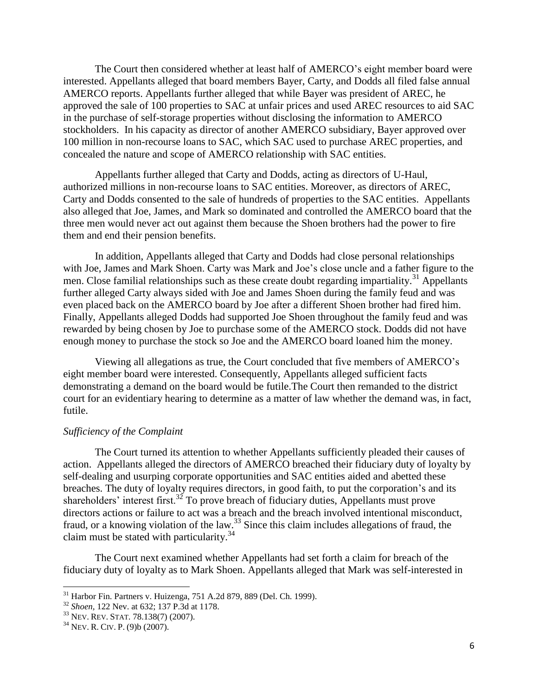The Court then considered whether at least half of AMERCO"s eight member board were interested. Appellants alleged that board members Bayer, Carty, and Dodds all filed false annual AMERCO reports. Appellants further alleged that while Bayer was president of AREC, he approved the sale of 100 properties to SAC at unfair prices and used AREC resources to aid SAC in the purchase of self-storage properties without disclosing the information to AMERCO stockholders. In his capacity as director of another AMERCO subsidiary, Bayer approved over 100 million in non-recourse loans to SAC, which SAC used to purchase AREC properties, and concealed the nature and scope of AMERCO relationship with SAC entities.

Appellants further alleged that Carty and Dodds, acting as directors of U-Haul, authorized millions in non-recourse loans to SAC entities. Moreover, as directors of AREC, Carty and Dodds consented to the sale of hundreds of properties to the SAC entities. Appellants also alleged that Joe, James, and Mark so dominated and controlled the AMERCO board that the three men would never act out against them because the Shoen brothers had the power to fire them and end their pension benefits.

In addition, Appellants alleged that Carty and Dodds had close personal relationships with Joe, James and Mark Shoen. Carty was Mark and Joe"s close uncle and a father figure to the men. Close familial relationships such as these create doubt regarding impartiality.<sup>31</sup> Appellants further alleged Carty always sided with Joe and James Shoen during the family feud and was even placed back on the AMERCO board by Joe after a different Shoen brother had fired him. Finally, Appellants alleged Dodds had supported Joe Shoen throughout the family feud and was rewarded by being chosen by Joe to purchase some of the AMERCO stock. Dodds did not have enough money to purchase the stock so Joe and the AMERCO board loaned him the money.

Viewing all allegations as true, the Court concluded that five members of AMERCO"s eight member board were interested. Consequently, Appellants alleged sufficient facts demonstrating a demand on the board would be futile.The Court then remanded to the district court for an evidentiary hearing to determine as a matter of law whether the demand was, in fact, futile.

#### *Sufficiency of the Complaint*

The Court turned its attention to whether Appellants sufficiently pleaded their causes of action. Appellants alleged the directors of AMERCO breached their fiduciary duty of loyalty by self-dealing and usurping corporate opportunities and SAC entities aided and abetted these breaches. The duty of loyalty requires directors, in good faith, to put the corporation's and its shareholders' interest first.<sup>32</sup> To prove breach of fiduciary duties, Appellants must prove directors actions or failure to act was a breach and the breach involved intentional misconduct, fraud, or a knowing violation of the law.<sup>33</sup> Since this claim includes allegations of fraud, the claim must be stated with particularity.<sup>34</sup>

The Court next examined whether Appellants had set forth a claim for breach of the fiduciary duty of loyalty as to Mark Shoen. Appellants alleged that Mark was self-interested in

 $31$  Harbor Fin. Partners v. Huizenga, 751 A.2d 879, 889 (Del. Ch. 1999).

<sup>32</sup> *Shoen,* 122 Nev. at 632; 137 P.3d at 1178.

<sup>&</sup>lt;sup>33</sup> Nev. Rev. Stat. 78.138(7) (2007).

 $34$  Nev. R. CIv. P. (9)b (2007).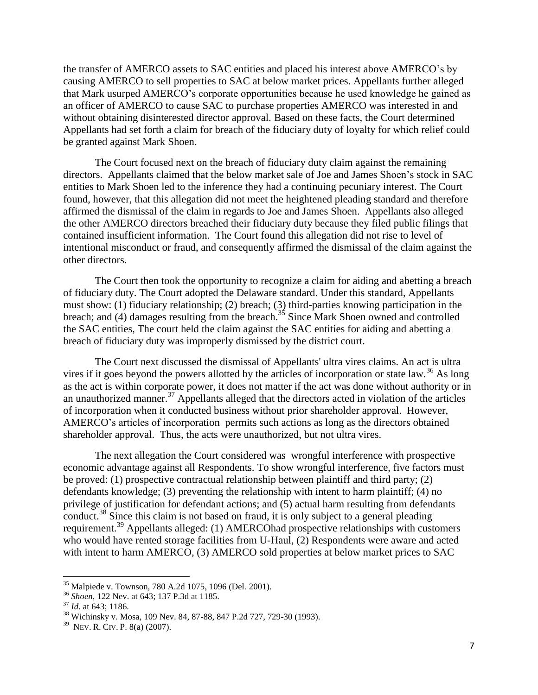the transfer of AMERCO assets to SAC entities and placed his interest above AMERCO"s by causing AMERCO to sell properties to SAC at below market prices. Appellants further alleged that Mark usurped AMERCO"s corporate opportunities because he used knowledge he gained as an officer of AMERCO to cause SAC to purchase properties AMERCO was interested in and without obtaining disinterested director approval. Based on these facts, the Court determined Appellants had set forth a claim for breach of the fiduciary duty of loyalty for which relief could be granted against Mark Shoen.

The Court focused next on the breach of fiduciary duty claim against the remaining directors. Appellants claimed that the below market sale of Joe and James Shoen"s stock in SAC entities to Mark Shoen led to the inference they had a continuing pecuniary interest. The Court found, however, that this allegation did not meet the heightened pleading standard and therefore affirmed the dismissal of the claim in regards to Joe and James Shoen. Appellants also alleged the other AMERCO directors breached their fiduciary duty because they filed public filings that contained insufficient information. The Court found this allegation did not rise to level of intentional misconduct or fraud, and consequently affirmed the dismissal of the claim against the other directors.

The Court then took the opportunity to recognize a claim for aiding and abetting a breach of fiduciary duty. The Court adopted the Delaware standard. Under this standard, Appellants must show: (1) fiduciary relationship; (2) breach; (3) third-parties knowing participation in the breach; and  $(4)$  damages resulting from the breach.<sup>35</sup> Since Mark Shoen owned and controlled the SAC entities, The court held the claim against the SAC entities for aiding and abetting a breach of fiduciary duty was improperly dismissed by the district court.

The Court next discussed the dismissal of Appellants' ultra vires claims. An act is ultra vires if it goes beyond the powers allotted by the articles of incorporation or state law.<sup>36</sup> As long as the act is within corporate power, it does not matter if the act was done without authority or in an unauthorized manner.<sup>37</sup> Appellants alleged that the directors acted in violation of the articles of incorporation when it conducted business without prior shareholder approval. However, AMERCO"s articles of incorporation permits such actions as long as the directors obtained shareholder approval. Thus, the acts were unauthorized, but not ultra vires.

The next allegation the Court considered was wrongful interference with prospective economic advantage against all Respondents. To show wrongful interference, five factors must be proved: (1) prospective contractual relationship between plaintiff and third party; (2) defendants knowledge; (3) preventing the relationship with intent to harm plaintiff; (4) no privilege of justification for defendant actions; and (5) actual harm resulting from defendants conduct.<sup>38</sup> Since this claim is not based on fraud, it is only subject to a general pleading requirement.<sup>39</sup> Appellants alleged: (1) AMERCOhad prospective relationships with customers who would have rented storage facilities from U-Haul, (2) Respondents were aware and acted with intent to harm AMERCO, (3) AMERCO sold properties at below market prices to SAC

 $\overline{a}$ 

<sup>&</sup>lt;sup>35</sup> Malpiede v. Townson, 780 A.2d 1075, 1096 (Del. 2001).

<sup>36</sup> *Shoen,* 122 Nev. at 643; 137 P.3d at 1185.

<sup>37</sup> *Id.* at 643; 1186.

<sup>38</sup> Wichinsky v. Mosa, 109 Nev. 84, 87-88, 847 P.2d 727, 729-30 (1993).

<sup>39</sup> NEV. R. CIV. P. 8(a) (2007).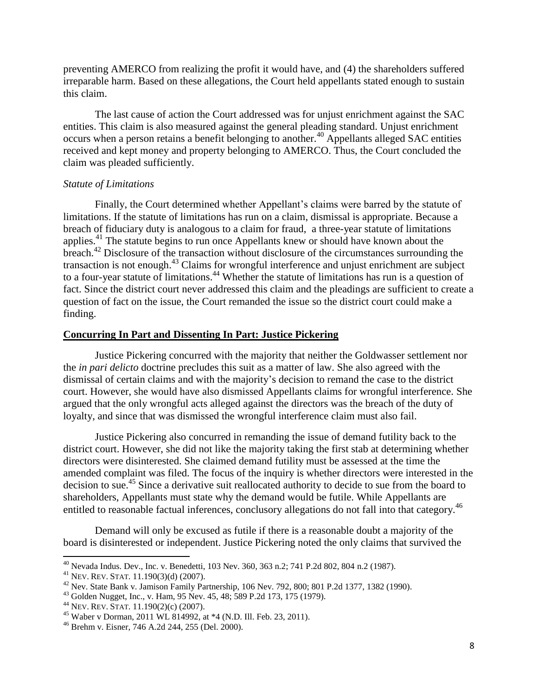preventing AMERCO from realizing the profit it would have, and (4) the shareholders suffered irreparable harm. Based on these allegations, the Court held appellants stated enough to sustain this claim.

The last cause of action the Court addressed was for unjust enrichment against the SAC entities. This claim is also measured against the general pleading standard. Unjust enrichment occurs when a person retains a benefit belonging to another.<sup>40</sup> Appellants alleged SAC entities received and kept money and property belonging to AMERCO. Thus, the Court concluded the claim was pleaded sufficiently.

#### *Statute of Limitations*

Finally, the Court determined whether Appellant's claims were barred by the statute of limitations. If the statute of limitations has run on a claim, dismissal is appropriate. Because a breach of fiduciary duty is analogous to a claim for fraud, a three-year statute of limitations applies.<sup>41</sup> The statute begins to run once Appellants knew or should have known about the breach.<sup>42</sup> Disclosure of the transaction without disclosure of the circumstances surrounding the transaction is not enough.<sup>43</sup> Claims for wrongful interference and unjust enrichment are subject to a four-year statute of limitations.<sup>44</sup> Whether the statute of limitations has run is a question of fact. Since the district court never addressed this claim and the pleadings are sufficient to create a question of fact on the issue, the Court remanded the issue so the district court could make a finding.

## **Concurring In Part and Dissenting In Part: Justice Pickering**

Justice Pickering concurred with the majority that neither the Goldwasser settlement nor the *in pari delicto* doctrine precludes this suit as a matter of law. She also agreed with the dismissal of certain claims and with the majority"s decision to remand the case to the district court. However, she would have also dismissed Appellants claims for wrongful interference. She argued that the only wrongful acts alleged against the directors was the breach of the duty of loyalty, and since that was dismissed the wrongful interference claim must also fail.

Justice Pickering also concurred in remanding the issue of demand futility back to the district court. However, she did not like the majority taking the first stab at determining whether directors were disinterested. She claimed demand futility must be assessed at the time the amended complaint was filed. The focus of the inquiry is whether directors were interested in the decision to sue.<sup>45</sup> Since a derivative suit reallocated authority to decide to sue from the board to shareholders, Appellants must state why the demand would be futile. While Appellants are entitled to reasonable factual inferences, conclusory allegations do not fall into that category.<sup>46</sup>

Demand will only be excused as futile if there is a reasonable doubt a majority of the board is disinterested or independent. Justice Pickering noted the only claims that survived the

 $^{40}$  Nevada Indus. Dev., Inc. v. Benedetti, 103 Nev. 360, 363 n.2; 741 P.2d 802, 804 n.2 (1987).

<sup>41</sup> NEV. REV. STAT. 11.190(3)(d) (2007).

 $42$  Nev. State Bank v. Jamison Family Partnership, 106 Nev. 792, 800; 801 P.2d 1377, 1382 (1990).

<sup>43</sup> Golden Nugget, Inc., v. Ham, 95 Nev. 45, 48; 589 P.2d 173, 175 (1979).

<sup>44</sup> NEV. REV. STAT. 11.190(2)(c) (2007).

<sup>&</sup>lt;sup>45</sup> Waber v Dorman, 2011 WL 814992, at  $*4$  (N.D. Ill. Feb. 23, 2011).

<sup>46</sup> Brehm v. Eisner, 746 A.2d 244, 255 (Del. 2000).